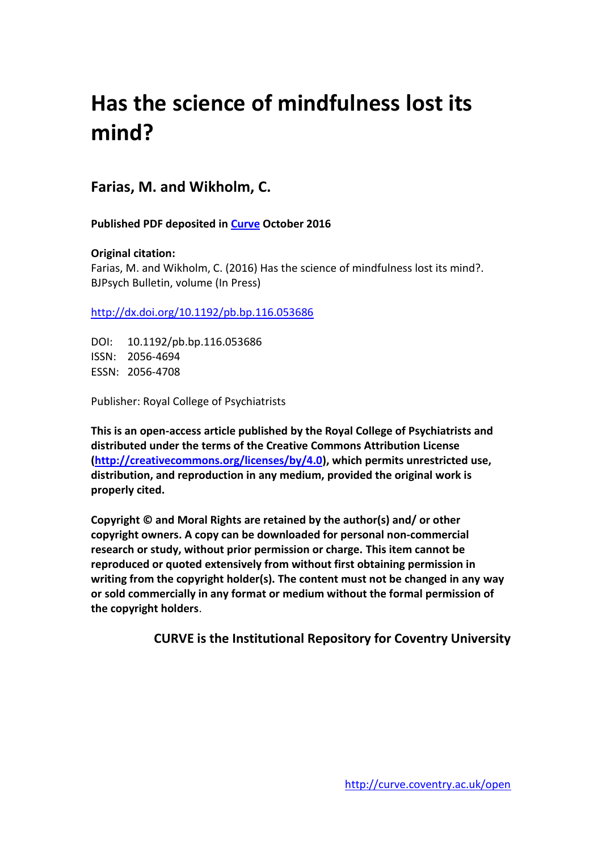# **Has the science of mindfulness lost its mind?**

## **Farias, M. and Wikholm, C.**

**Published PDF deposited in [Curve](http://curve.coventry.ac.uk/open) October 2016**

### **Original citation:**

Farias, M. and Wikholm, C. (2016) Has the science of mindfulness lost its mind?. BJPsych Bulletin, volume (In Press)

<http://dx.doi.org/10.1192/pb.bp.116.053686>

DOI: 10.1192/pb.bp.116.053686 ISSN: 2056-4694 ESSN: 2056-4708

Publisher: Royal College of Psychiatrists

**This is an open-access article published by the Royal College of Psychiatrists and distributed under the terms of the Creative Commons Attribution License [\(http://creativecommons.org/licenses/by/4.0\)](http://creativecommons.org/licenses/by/4.0), which permits unrestricted use, distribution, and reproduction in any medium, provided the original work is properly cited.**

**Copyright © and Moral Rights are retained by the author(s) and/ or other copyright owners. A copy can be downloaded for personal non-commercial research or study, without prior permission or charge. This item cannot be reproduced or quoted extensively from without first obtaining permission in writing from the copyright holder(s). The content must not be changed in any way or sold commercially in any format or medium without the formal permission of the copyright holders**.

**CURVE is the Institutional Repository for Coventry University**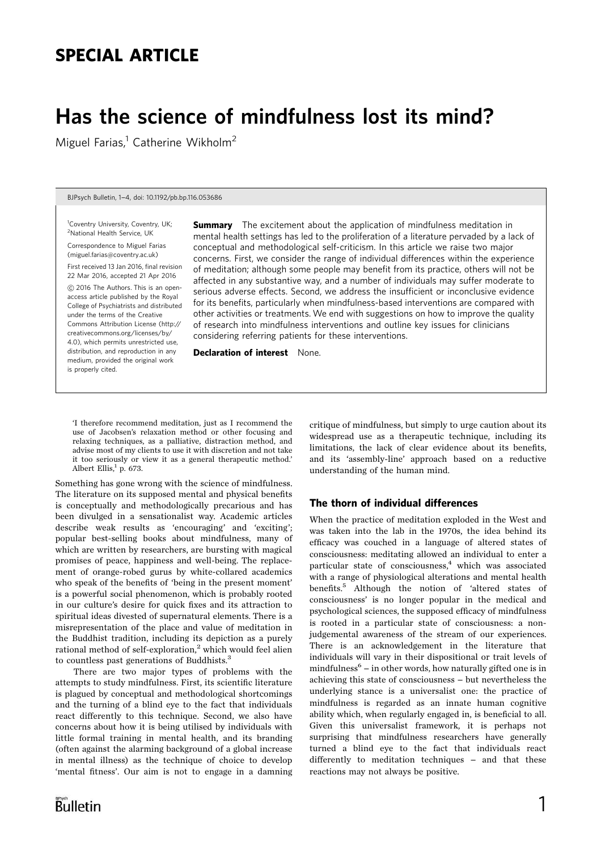## SPECIAL ARTICLE

## Has the science of mindfulness lost its mind?

Miguel Farias, $1$  Catherine Wikholm<sup>2</sup>

#### BJPsych Bulletin, 1-4, doi: 10.1192/pb.bp.116.053686

<sup>1</sup>Coventry University, Coventry, UK; <sup>2</sup>National Health Service, UK Correspondence to Miguel Farias (miguel.farias@coventry.ac.uk) First received 13 Jan 2016, final revision 22 Mar 2016, accepted 21 Apr 2016 *B* 2016 The Authors. This is an openaccess article published by the Royal College of Psychiatrists and distributed under the terms of the Creative Commons Attribution License (http:// creativecommons.org/licenses/by/ 4.0), which permits unrestricted use, distribution, and reproduction in any medium, provided the original work is properly cited.

**Summary** The excitement about the application of mindfulness meditation in mental health settings has led to the proliferation of a literature pervaded by a lack of conceptual and methodological self-criticism. In this article we raise two major concerns. First, we consider the range of individual differences within the experience of meditation; although some people may benefit from its practice, others will not be affected in any substantive way, and a number of individuals may suffer moderate to serious adverse effects. Second, we address the insufficient or inconclusive evidence for its benefits, particularly when mindfulness-based interventions are compared with other activities or treatments. We end with suggestions on how to improve the quality of research into mindfulness interventions and outline key issues for clinicians considering referring patients for these interventions.

Declaration of interest None.

'I therefore recommend meditation, just as I recommend the use of Jacobsen's relaxation method or other focusing and relaxing techniques, as a palliative, distraction method, and advise most of my clients to use it with discretion and not take it too seriously or view it as a general therapeutic method.' Albert Ellis,<sup>1</sup> p. 673.

Something has gone wrong with the science of mindfulness. The literature on its supposed mental and physical benefits is conceptually and methodologically precarious and has been divulged in a sensationalist way. Academic articles describe weak results as 'encouraging' and 'exciting'; popular best-selling books about mindfulness, many of which are written by researchers, are bursting with magical promises of peace, happiness and well-being. The replacement of orange-robed gurus by white-collared academics who speak of the benefits of 'being in the present moment' is a powerful social phenomenon, which is probably rooted in our culture's desire for quick fixes and its attraction to spiritual ideas divested of supernatural elements. There is a misrepresentation of the place and value of meditation in the Buddhist tradition, including its depiction as a purely rational method of self-exploration,<sup>2</sup> which would feel alien to countless past generations of Buddhists.<sup>3</sup>

There are two major types of problems with the attempts to study mindfulness. First, its scientific literature is plagued by conceptual and methodological shortcomings and the turning of a blind eye to the fact that individuals react differently to this technique. Second, we also have concerns about how it is being utilised by individuals with little formal training in mental health, and its branding (often against the alarming background of a global increase in mental illness) as the technique of choice to develop 'mental fitness'. Our aim is not to engage in a damning

Bulletin

critique of mindfulness, but simply to urge caution about its widespread use as a therapeutic technique, including its limitations, the lack of clear evidence about its benefits, and its 'assembly-line' approach based on a reductive understanding of the human mind.

#### The thorn of individual differences

When the practice of meditation exploded in the West and was taken into the lab in the 1970s, the idea behind its efficacy was couched in a language of altered states of consciousness: meditating allowed an individual to enter a particular state of consciousness,<sup>4</sup> which was associated with a range of physiological alterations and mental health benefits.5 Although the notion of 'altered states of consciousness' is no longer popular in the medical and psychological sciences, the supposed efficacy of mindfulness is rooted in a particular state of consciousness: a nonjudgemental awareness of the stream of our experiences. There is an acknowledgement in the literature that individuals will vary in their dispositional or trait levels of mindfulness<sup>6</sup> – in other words, how naturally gifted one is in achieving this state of consciousness - but nevertheless the underlying stance is a universalist one: the practice of mindfulness is regarded as an innate human cognitive ability which, when regularly engaged in, is beneficial to all. Given this universalist framework, it is perhaps not surprising that mindfulness researchers have generally turned a blind eye to the fact that individuals react differently to meditation techniques - and that these reactions may not always be positive.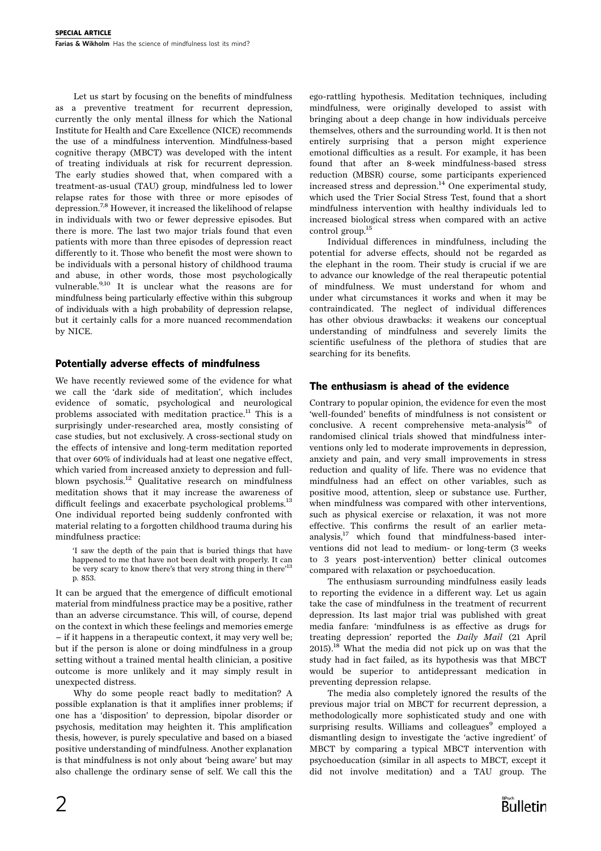Let us start by focusing on the benefits of mindfulness as a preventive treatment for recurrent depression, currently the only mental illness for which the National Institute for Health and Care Excellence (NICE) recommends the use of a mindfulness intervention. Mindfulness-based cognitive therapy (MBCT) was developed with the intent of treating individuals at risk for recurrent depression. The early studies showed that, when compared with a treatment-as-usual (TAU) group, mindfulness led to lower relapse rates for those with three or more episodes of depression.7,8 However, it increased the likelihood of relapse in individuals with two or fewer depressive episodes. But there is more. The last two major trials found that even patients with more than three episodes of depression react differently to it. Those who benefit the most were shown to be individuals with a personal history of childhood trauma and abuse, in other words, those most psychologically vulnerable.<sup>9,10</sup> It is unclear what the reasons are for mindfulness being particularly effective within this subgroup of individuals with a high probability of depression relapse, but it certainly calls for a more nuanced recommendation by NICE.

#### Potentially adverse effects of mindfulness

We have recently reviewed some of the evidence for what we call the 'dark side of meditation', which includes evidence of somatic, psychological and neurological problems associated with meditation practice.<sup>11</sup> This is a surprisingly under-researched area, mostly consisting of case studies, but not exclusively. A cross-sectional study on the effects of intensive and long-term meditation reported that over 60% of individuals had at least one negative effect, which varied from increased anxiety to depression and fullblown psychosis.<sup>12</sup> Qualitative research on mindfulness meditation shows that it may increase the awareness of difficult feelings and exacerbate psychological problems.<sup>13</sup> One individual reported being suddenly confronted with material relating to a forgotten childhood trauma during his mindfulness practice:

'I saw the depth of the pain that is buried things that have happened to me that have not been dealt with properly. It can be very scary to know there's that very strong thing in there'<sup>13</sup> p. 853.

It can be argued that the emergence of difficult emotional material from mindfulness practice may be a positive, rather than an adverse circumstance. This will, of course, depend on the context in which these feelings and memories emerge -if it happens in a therapeutic context, it may very well be; but if the person is alone or doing mindfulness in a group setting without a trained mental health clinician, a positive outcome is more unlikely and it may simply result in unexpected distress.

Why do some people react badly to meditation? A possible explanation is that it amplifies inner problems; if one has a 'disposition' to depression, bipolar disorder or psychosis, meditation may heighten it. This amplification thesis, however, is purely speculative and based on a biased positive understanding of mindfulness. Another explanation is that mindfulness is not only about 'being aware' but may also challenge the ordinary sense of self. We call this the ego-rattling hypothesis. Meditation techniques, including mindfulness, were originally developed to assist with bringing about a deep change in how individuals perceive themselves, others and the surrounding world. It is then not entirely surprising that a person might experience emotional difficulties as a result. For example, it has been found that after an 8-week mindfulness-based stress reduction (MBSR) course, some participants experienced increased stress and depression.<sup>14</sup> One experimental study, which used the Trier Social Stress Test, found that a short mindfulness intervention with healthy individuals led to increased biological stress when compared with an active control group.15

Individual differences in mindfulness, including the potential for adverse effects, should not be regarded as the elephant in the room. Their study is crucial if we are to advance our knowledge of the real therapeutic potential of mindfulness. We must understand for whom and under what circumstances it works and when it may be contraindicated. The neglect of individual differences has other obvious drawbacks: it weakens our conceptual understanding of mindfulness and severely limits the scientific usefulness of the plethora of studies that are searching for its benefits.

#### The enthusiasm is ahead of the evidence

Contrary to popular opinion, the evidence for even the most 'well-founded' benefits of mindfulness is not consistent or conclusive. A recent comprehensive meta-analysis $^{16}$  of randomised clinical trials showed that mindfulness interventions only led to moderate improvements in depression, anxiety and pain, and very small improvements in stress reduction and quality of life. There was no evidence that mindfulness had an effect on other variables, such as positive mood, attention, sleep or substance use. Further, when mindfulness was compared with other interventions, such as physical exercise or relaxation, it was not more effective. This confirms the result of an earlier metaanalysis, $17$  which found that mindfulness-based interventions did not lead to medium- or long-term (3 weeks to 3 years post-intervention) better clinical outcomes compared with relaxation or psychoeducation.

The enthusiasm surrounding mindfulness easily leads to reporting the evidence in a different way. Let us again take the case of mindfulness in the treatment of recurrent depression. Its last major trial was published with great media fanfare: 'mindfulness is as effective as drugs for treating depression' reported the Daily Mail (21 April  $2015$ <sup>18</sup>. What the media did not pick up on was that the study had in fact failed, as its hypothesis was that MBCT would be superior to antidepressant medication in preventing depression relapse.

The media also completely ignored the results of the previous major trial on MBCT for recurrent depression, a methodologically more sophisticated study and one with surprising results. Williams and colleagues<sup>9</sup> employed a dismantling design to investigate the 'active ingredient' of MBCT by comparing a typical MBCT intervention with psychoeducation (similar in all aspects to MBCT, except it did not involve meditation) and a TAU group. The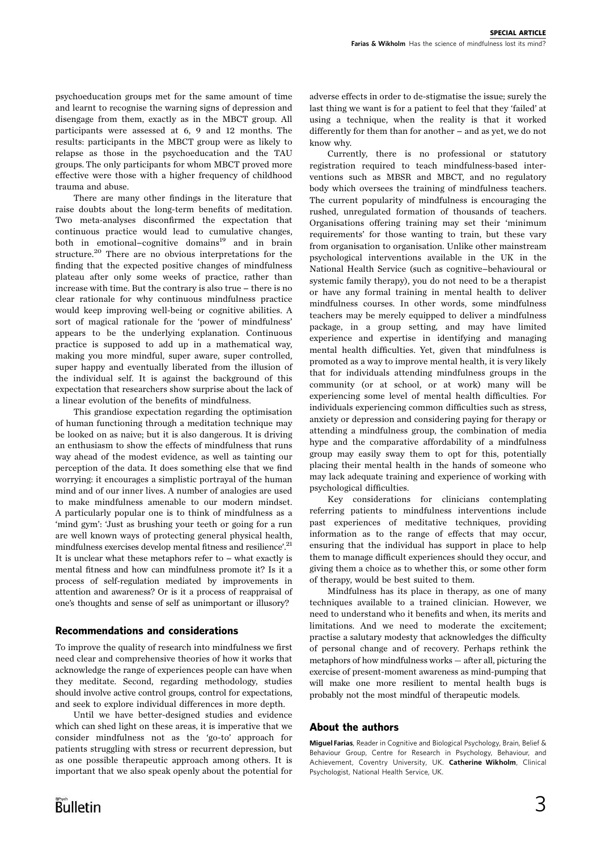psychoeducation groups met for the same amount of time and learnt to recognise the warning signs of depression and disengage from them, exactly as in the MBCT group. All participants were assessed at 6, 9 and 12 months. The results: participants in the MBCT group were as likely to relapse as those in the psychoeducation and the TAU groups. The only participants for whom MBCT proved more effective were those with a higher frequency of childhood trauma and abuse.

There are many other findings in the literature that raise doubts about the long-term benefits of meditation. Two meta-analyses disconfirmed the expectation that continuous practice would lead to cumulative changes, both in emotional-cognitive domains<sup>19</sup> and in brain structure.<sup>20</sup> There are no obvious interpretations for the finding that the expected positive changes of mindfulness plateau after only some weeks of practice, rather than  $increases$  with time. But the contrary is also true  $-$  there is no clear rationale for why continuous mindfulness practice would keep improving well-being or cognitive abilities. A sort of magical rationale for the 'power of mindfulness' appears to be the underlying explanation. Continuous practice is supposed to add up in a mathematical way, making you more mindful, super aware, super controlled, super happy and eventually liberated from the illusion of the individual self. It is against the background of this expectation that researchers show surprise about the lack of a linear evolution of the benefits of mindfulness.

This grandiose expectation regarding the optimisation of human functioning through a meditation technique may be looked on as naive; but it is also dangerous. It is driving an enthusiasm to show the effects of mindfulness that runs way ahead of the modest evidence, as well as tainting our perception of the data. It does something else that we find worrying: it encourages a simplistic portrayal of the human mind and of our inner lives. A number of analogies are used to make mindfulness amenable to our modern mindset. A particularly popular one is to think of mindfulness as a 'mind gym': 'Just as brushing your teeth or going for a run are well known ways of protecting general physical health, mindfulness exercises develop mental fitness and resilience'.<sup>21</sup> It is unclear what these metaphors refer to  $-$  what exactly is mental fitness and how can mindfulness promote it? Is it a process of self-regulation mediated by improvements in attention and awareness? Or is it a process of reappraisal of one's thoughts and sense of self as unimportant or illusory?

#### Recommendations and considerations

To improve the quality of research into mindfulness we first need clear and comprehensive theories of how it works that acknowledge the range of experiences people can have when they meditate. Second, regarding methodology, studies should involve active control groups, control for expectations, and seek to explore individual differences in more depth.

Until we have better-designed studies and evidence which can shed light on these areas, it is imperative that we consider mindfulness not as the 'go-to' approach for patients struggling with stress or recurrent depression, but as one possible therapeutic approach among others. It is important that we also speak openly about the potential for adverse effects in order to de-stigmatise the issue; surely the last thing we want is for a patient to feel that they 'failed' at using a technique, when the reality is that it worked differently for them than for another  $-$  and as yet, we do not know why.

Currently, there is no professional or statutory registration required to teach mindfulness-based interventions such as MBSR and MBCT, and no regulatory body which oversees the training of mindfulness teachers. The current popularity of mindfulness is encouraging the rushed, unregulated formation of thousands of teachers. Organisations offering training may set their 'minimum requirements' for those wanting to train, but these vary from organisation to organisation. Unlike other mainstream psychological interventions available in the UK in the National Health Service (such as cognitive-behavioural or systemic family therapy), you do not need to be a therapist or have any formal training in mental health to deliver mindfulness courses. In other words, some mindfulness teachers may be merely equipped to deliver a mindfulness package, in a group setting, and may have limited experience and expertise in identifying and managing mental health difficulties. Yet, given that mindfulness is promoted as a way to improve mental health, it is very likely that for individuals attending mindfulness groups in the community (or at school, or at work) many will be experiencing some level of mental health difficulties. For individuals experiencing common difficulties such as stress, anxiety or depression and considering paying for therapy or attending a mindfulness group, the combination of media hype and the comparative affordability of a mindfulness group may easily sway them to opt for this, potentially placing their mental health in the hands of someone who may lack adequate training and experience of working with psychological difficulties.

Key considerations for clinicians contemplating referring patients to mindfulness interventions include past experiences of meditative techniques, providing information as to the range of effects that may occur, ensuring that the individual has support in place to help them to manage difficult experiences should they occur, and giving them a choice as to whether this, or some other form of therapy, would be best suited to them.

Mindfulness has its place in therapy, as one of many techniques available to a trained clinician. However, we need to understand who it benefits and when, its merits and limitations. And we need to moderate the excitement; practise a salutary modesty that acknowledges the difficulty of personal change and of recovery. Perhaps rethink the metaphors of how mindfulness works — after all, picturing the exercise of present-moment awareness as mind-pumping that will make one more resilient to mental health bugs is probably not the most mindful of therapeutic models.

#### About the authors

Miguel Farias, Reader in Cognitive and Biological Psychology, Brain, Belief & Behaviour Group, Centre for Research in Psychology, Behaviour, and Achievement, Coventry University, UK. Catherine Wikholm, Clinical Psychologist, National Health Service, UK.